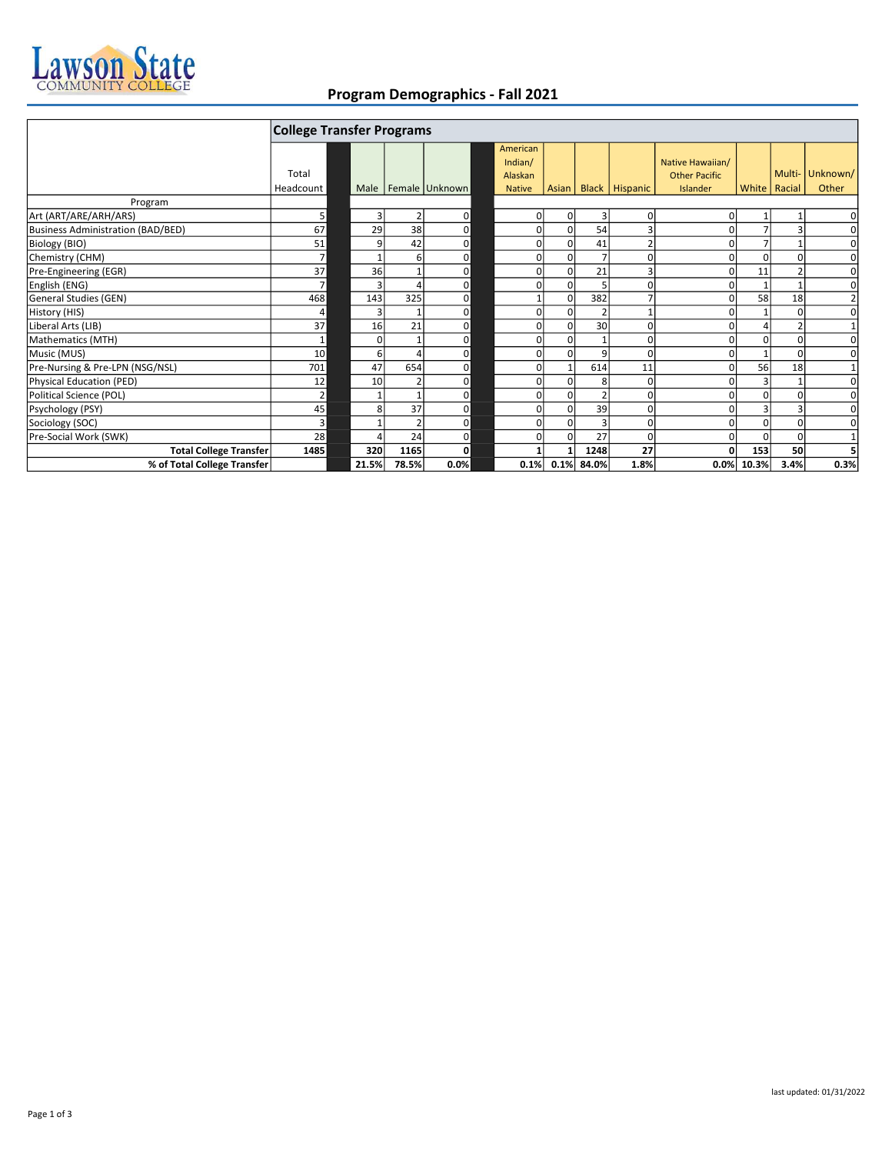

## Program Demographics - Fall 2021

|                                   | <b>College Transfer Programs</b> |             |       |                |  |                                |       |                |                  |                                          |          |                |                |
|-----------------------------------|----------------------------------|-------------|-------|----------------|--|--------------------------------|-------|----------------|------------------|------------------------------------------|----------|----------------|----------------|
|                                   | Total                            |             |       |                |  | American<br>Indian/<br>Alaskan |       |                |                  | Native Hawaiian/<br><b>Other Pacific</b> |          | Multi-         | Unknown/       |
|                                   | Headcount                        | Male        |       | Female Unknown |  | <b>Native</b>                  | Asian |                | Black   Hispanic | Islander                                 |          | White   Racial | Other          |
| Program                           |                                  |             |       |                |  |                                |       |                |                  |                                          |          |                |                |
| Art (ART/ARE/ARH/ARS)             | 5                                | 3           |       | $\Omega$       |  | 01                             |       | $\overline{3}$ | 0                |                                          |          |                | $\Omega$       |
| Business Administration (BAD/BED) | 67                               | 29          | 38    | $\Omega$       |  | 0                              |       | 54             | 3                |                                          |          | 3              | $\Omega$       |
| Biology (BIO)                     | 51                               | 9           | 42    | $\Omega$       |  | $\Omega$                       |       | 41             | $\overline{2}$   |                                          |          |                | $\Omega$       |
| Chemistry (CHM)                   | $\overline{7}$                   |             | 6     | $\Omega$       |  | $\Omega$                       |       |                | $\Omega$         |                                          | $\Omega$ | $\Omega$       | $\Omega$       |
| Pre-Engineering (EGR)             | 37                               | 36          |       | $\Omega$       |  | $\Omega$                       |       | 21             | 3                |                                          | 11       |                | $\Omega$       |
| English (ENG)                     | $\overline{7}$                   |             |       | $\Omega$       |  | 0                              |       |                | $\Omega$         |                                          |          |                | $\Omega$       |
| General Studies (GEN)             | 468                              | 143         | 325   | $\Omega$       |  |                                |       | 382            | 7                |                                          | 58       | 18             | $\overline{2}$ |
| History (HIS)                     | 4                                | З           |       | $\Omega$       |  | $\Omega$                       |       |                | 1                |                                          |          | 0              | $\Omega$       |
| Liberal Arts (LIB)                | 37                               | 16          | 21    | $\Omega$       |  | 0                              |       | 30             | $\Omega$         |                                          |          |                | $1\vert$       |
| Mathematics (MTH)                 | $\mathbf{1}$                     | $\mathbf 0$ |       | $\Omega$       |  | $\Omega$                       |       |                | $\Omega$         |                                          |          | 0              | $\Omega$       |
| Music (MUS)                       | 10                               | 6           |       | $\Omega$       |  | $\overline{0}$                 |       | $\overline{9}$ | $\Omega$         |                                          |          | 0              | $\Omega$       |
| Pre-Nursing & Pre-LPN (NSG/NSL)   | 701                              | 47          | 654   | $\Omega$       |  | $\Omega$                       |       | 614            | 11               |                                          | 56       | 18             | $1\vert$       |
| Physical Education (PED)          | 12                               | 10          |       | $\Omega$       |  | $\Omega$                       |       | $\mathbf{8}$   | $\Omega$         |                                          |          |                | $\Omega$       |
| Political Science (POL)           | $\overline{2}$                   |             |       | $\Omega$       |  | $\Omega$                       |       |                | $\Omega$         |                                          |          | 0              | $\Omega$       |
| Psychology (PSY)                  | 45                               | 8           | 37    | $\Omega$       |  | $\Omega$                       |       | 39             | $\Omega$         |                                          | 3        | 3              | $\overline{0}$ |
| Sociology (SOC)                   | 3                                |             |       | $\Omega$       |  | $\Omega$                       |       |                | $\Omega$         |                                          | $\Omega$ | $\Omega$       | $\Omega$       |
| Pre-Social Work (SWK)             | 28                               |             | 24    | $\Omega$       |  | 0                              |       | 27             | $\Omega$         |                                          | $\Omega$ | $\Omega$       | $1\vert$       |
| <b>Total College Transfer</b>     | 1485                             | 320         | 1165  | $\mathbf{0}$   |  |                                |       | 1248           | 27               |                                          | 153      | 50             | 5              |
| % of Total College Transfer       |                                  | 21.5%       | 78.5% | 0.0%           |  | 0.1%                           | 0.1%  | 84.0%          | 1.8%             | 0.0%                                     | 10.3%    | 3.4%           | 0.3%           |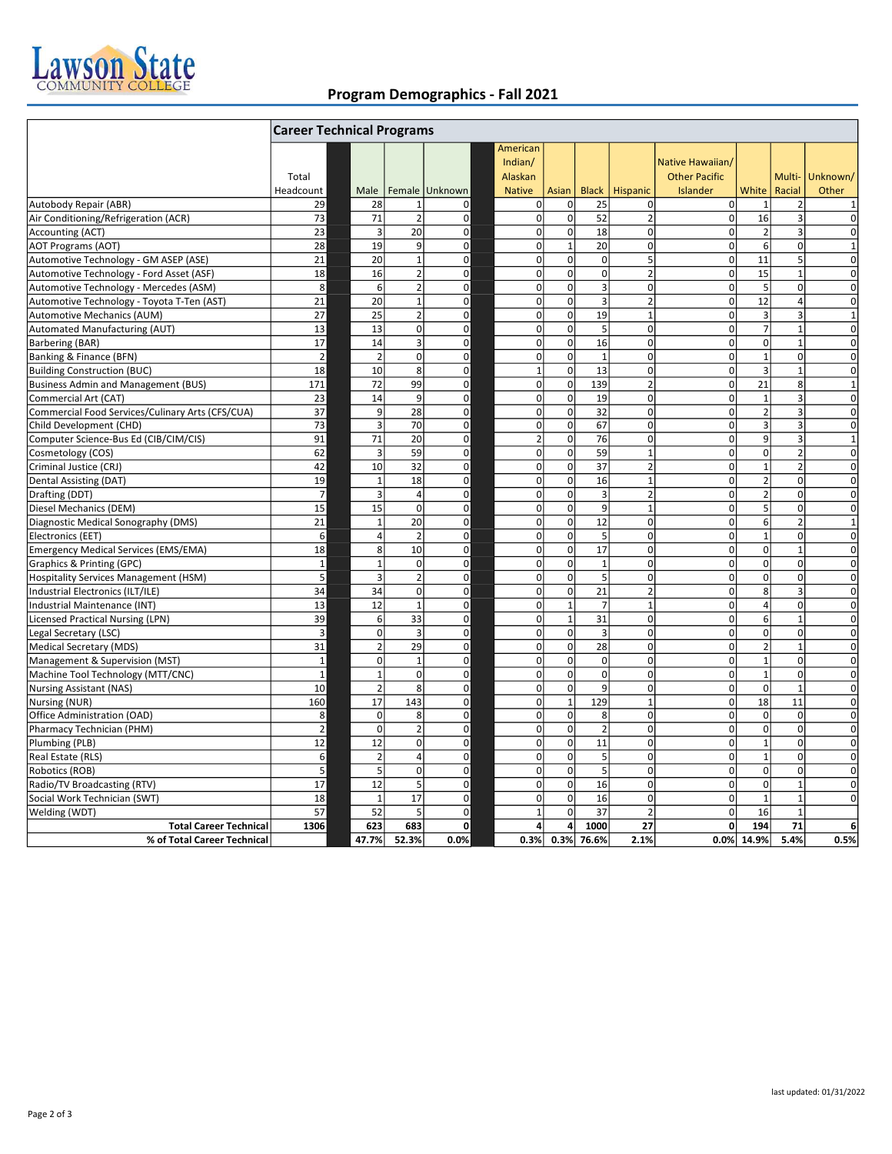

## Program Demographics - Fall 2021

|                                                                                  | <b>Career Technical Programs</b> |                         |                                |                |                                |                              |                         |                  |                                          |                       |                          |                 |
|----------------------------------------------------------------------------------|----------------------------------|-------------------------|--------------------------------|----------------|--------------------------------|------------------------------|-------------------------|------------------|------------------------------------------|-----------------------|--------------------------|-----------------|
|                                                                                  | Total                            |                         |                                |                | Americar<br>Indian/<br>Alaskan |                              |                         |                  | Native Hawaiian/<br><b>Other Pacific</b> |                       | Multi-                   | Unknown/        |
|                                                                                  | Headcount                        | Male                    |                                | Female Unknown | <b>Native</b>                  | Asian                        |                         | Black   Hispanic | Islander                                 | White<br>$\mathbf{1}$ | Racial                   | Other           |
| Autobody Repair (ABR)                                                            | 29                               | 28                      | $\mathbf{1}$<br>$\overline{2}$ | $\mathbf 0$    | 0                              | $\mathbf{0}$<br>$\mathbf{0}$ | 25                      | 0                | $\overline{0}$<br><sub>0</sub>           |                       | 2<br>$\overline{3}$      | $1\overline{ }$ |
| Air Conditioning/Refrigeration (ACR)                                             | 73                               | 71                      |                                | $\pmb{0}$      | $\mathbf 0$                    |                              | 52                      | $\overline{2}$   |                                          | 16                    |                          | $\Omega$        |
| Accounting (ACT)                                                                 | 23                               | $\overline{3}$          | 20                             | $\overline{0}$ | $\mathbf 0$                    | 0                            | 18                      | $\mathbf 0$      | οl                                       | $\overline{2}$        | 3                        | $\Omega$        |
| <b>AOT Programs (AOT)</b>                                                        | 28                               | 19                      | 9                              | $\Omega$       | $\pmb{0}$                      | $\mathbf{1}$                 | 20                      | 0                | οl                                       | 6                     | 0                        | $1\overline{ }$ |
| Automotive Technology - GM ASEP (ASE)                                            | 21                               | 20                      | $\mathbf{1}$                   | $\Omega$       | $\mathbf 0$                    | ol                           | $\overline{0}$          | 5                | οl                                       | 11                    | 5                        | $\Omega$        |
| Automotive Technology - Ford Asset (ASF)                                         | 18                               | 16                      | $\overline{2}$                 | $\overline{0}$ | $\mathbf 0$                    | 0                            | $\overline{0}$          | $\overline{2}$   | οl                                       | 15                    | $\mathbf 1$              | $\Omega$        |
| Automotive Technology - Mercedes (ASM)                                           | 8                                | 6                       | $\overline{2}$                 | $\Omega$       | $\mathbf 0$                    | $\Omega$                     | $\overline{\mathbf{3}}$ | $\Omega$         | $\Omega$                                 | 5 <sup>1</sup>        | 0                        | $\overline{0}$  |
| Automotive Technology - Toyota T-Ten (AST)                                       | 21                               | 20                      | $\mathbf{1}$                   | $\mathbf 0$    | $\mathbf 0$                    | $\Omega$                     | $\overline{3}$          | $\overline{2}$   | $\Omega$                                 | 12                    | 4                        | $\Omega$        |
| Automotive Mechanics (AUM)                                                       | 27                               | 25                      | $\overline{2}$                 | $\overline{0}$ | $\mathbf 0$                    | οl                           | 19                      | $\mathbf 1$      | οl                                       | $\overline{3}$        | 3                        | $1\vert$        |
| Automated Manufacturing (AUT)                                                    | 13                               | 13                      | $\mathbf 0$                    | $\overline{0}$ | $\mathbf 0$                    | 0                            | 5                       | 0                | <sub>0</sub>                             | $\overline{7}$        | $\mathbf 1$              | 0               |
| Barbering (BAR)                                                                  | 17                               | 14                      | $\overline{3}$                 | $\Omega$       | $\mathbf 0$                    | ol                           | 16                      | $\mathbf 0$      | οl                                       | $\overline{0}$        | $\mathbf{1}$             | 0               |
| Banking & Finance (BFN)                                                          | $\overline{2}$                   | $\overline{2}$          | $\mathbf 0$                    | $\overline{0}$ | $\mathbf 0$                    | 0                            | $\mathbf{1}$            | 0                | οl                                       | $1\overline{ }$       | 0                        | 0               |
| <b>Building Construction (BUC)</b>                                               | 18                               | 10                      | 8                              | $\Omega$       | $\mathbf 1$                    | $\Omega$                     | 13                      | $\Omega$         | $\Omega$                                 | $\overline{3}$        | $\mathbf{1}$             | $\Omega$        |
| <b>Business Admin and Management (BUS)</b>                                       | 171                              | 72                      | 99                             | $\overline{0}$ | $\mathbf 0$                    | $\Omega$                     | 139                     | $\overline{2}$   | οl                                       | 21                    | 8                        | $1\overline{ }$ |
| Commercial Art (CAT)                                                             | 23                               | 14                      | 9                              | $\overline{0}$ | $\mathbf 0$                    | $\mathbf{0}$                 | 19                      | 0                | οl                                       | $1\overline{ }$       | 3                        | $\Omega$        |
| Commercial Food Services/Culinary Arts (CFS/CUA)                                 | 37                               | 9                       | 28                             | $\Omega$       | $\mathbf 0$                    | οl                           | 32                      | $\Omega$         | οl                                       | $\overline{2}$        | $\overline{3}$           | $\Omega$        |
| Child Development (CHD)                                                          | 73                               | $\overline{3}$          | 70                             | $\Omega$       | $\mathbf 0$                    | 0                            | 67                      | 0                | οl                                       | $\vert$ 3             | $\overline{3}$           | 0               |
| Computer Science-Bus Ed (CIB/CIM/CIS)                                            | 91                               | 71                      | 20                             | $\overline{0}$ | $\overline{2}$                 | 0                            | 76                      | 0                | $\overline{0}$                           | $\vert$               | 3                        | $1\overline{ }$ |
| Cosmetology (COS)                                                                | 62                               | 3                       | 59                             | $\overline{0}$ | $\mathbf 0$                    | $\mathbf{0}$                 | 59                      | $\mathbf{1}$     | $\overline{0}$                           | $\Omega$              | $\overline{\phantom{a}}$ | $\Omega$        |
| Criminal Justice (CRJ)                                                           | 42                               | 10                      | 32                             | $\overline{0}$ | $\mathbf 0$                    | 0                            | 37                      | $\overline{2}$   | $\Omega$                                 | $1\overline{ }$       | $\overline{2}$           | $\overline{0}$  |
| Dental Assisting (DAT)                                                           | 19                               | $\mathbf{1}$            | 18                             | $\overline{0}$ | $\mathbf 0$                    | οl                           | 16                      | $\mathbf 1$      | οl                                       | $\overline{2}$        | 0                        | $\Omega$        |
| Drafting (DDT)                                                                   | $\overline{7}$                   | $\overline{\mathbf{3}}$ | $\overline{4}$                 | $\Omega$       | $\mathbf 0$                    | ol                           | $\overline{3}$          | $\overline{2}$   | οl                                       | $\overline{2}$        | 0                        | 0               |
| Diesel Mechanics (DEM)                                                           | 15                               | 15                      | <sup>o</sup>                   | $\Omega$       | $\mathbf 0$                    | οl                           | $\overline{9}$          | $\mathbf{1}$     | οl                                       | 5 <sup>1</sup>        | 0                        | 0               |
| Diagnostic Medical Sonography (DMS)                                              | 21                               | $\mathbf{1}$            | 20                             | $\overline{0}$ | $\mathbf 0$                    | 0                            | 12                      | $\mathbf 0$      | $\mathbf{0}$                             | 6                     | $\overline{2}$           | $1\overline{ }$ |
| Electronics (EET)                                                                | 6                                | $\overline{4}$          | $\overline{2}$                 | $\overline{0}$ | $\mathbf 0$                    | $\mathbf{0}$                 | 5                       | $\mathbf 0$      | $\overline{0}$                           | $1\overline{ }$       | 0                        | $\Omega$        |
| <b>Emergency Medical Services (EMS/EMA)</b>                                      | 18                               | 8                       | 10                             | $\overline{0}$ | $\mathbf 0$                    | οl                           | 17                      | 0                | οl                                       | $\overline{0}$        | $\mathbf{1}$             | $\Omega$        |
| Graphics & Printing (GPC)                                                        | $\,1\,$                          | $\overline{1}$          | $\mathbf 0$                    | $\overline{0}$ | $\mathbf 0$                    | $\overline{0}$               | $\mathbf 1$             | $\mathbf 0$      | οl                                       | $\overline{0}$        | 0                        | $\Omega$        |
|                                                                                  | 5                                | $\overline{3}$          | $\overline{2}$                 | $\Omega$       | $\mathbf 0$                    | οl                           | 5                       | 0                | οl                                       | $\Omega$              | 0                        | 0               |
| <b>Hospitality Services Management (HSM)</b><br>Industrial Electronics (ILT/ILE) | 34                               | 34                      | $\mathbf 0$                    | $\Omega$       | $\mathbf 0$                    | οl                           | 21                      | $\overline{2}$   | οl                                       | 8                     | 3                        | $\Omega$        |
| Industrial Maintenance (INT)                                                     | 13                               | 12                      | $\mathbf{1}$                   | $\overline{0}$ | $\mathbf 0$                    | $\mathbf{1}$                 | $\overline{7}$          | $\overline{1}$   | $\Omega$                                 | $\vert$               | $\mathbf 0$              | $\overline{0}$  |
|                                                                                  |                                  | 6                       | 33                             | $\overline{0}$ | $\mathbf 0$                    | $\mathbf{1}$                 | 31                      | $\mathbf 0$      | $\mathbf{0}$                             | 6                     | $\overline{1}$           |                 |
| <b>Licensed Practical Nursing (LPN)</b>                                          | 39                               | $\Omega$                | $\overline{3}$                 | $\overline{0}$ | $\mathbf 0$                    | οl                           | $\overline{3}$          | 0                | οl                                       | $\Omega$              | 0                        | 0 <br>$\Omega$  |
| Legal Secretary (LSC)                                                            | 3                                |                         |                                |                |                                | 0                            |                         |                  | οl                                       |                       | $\overline{1}$           |                 |
| Medical Secretary (MDS)                                                          | 31                               | $\overline{2}$          | 29                             | $\Omega$       | $\mathbf 0$                    |                              | 28                      | 0                |                                          | $\overline{2}$        |                          | $\Omega$        |
| Management & Supervision (MST)                                                   | $\mathbf{1}$                     | $\mathbf 0$             | $\mathbf 1$                    | $\overline{0}$ | $\mathbf 0$                    | 0                            | $\overline{0}$          | 0                | οl                                       | $1\overline{ }$       | 0                        | 0               |
| Machine Tool Technology (MTT/CNC)                                                | $\mathbf{1}$                     | $\overline{1}$          | $\Omega$                       | $\Omega$       | $\mathbf 0$                    | οl                           | $\overline{0}$          | 0                | $\Omega$                                 | $1\overline{ }$       | 0                        | 0               |
| <b>Nursing Assistant (NAS)</b>                                                   | 10                               | $\overline{z}$          | 8                              | $\Omega$       | $\mathbf 0$                    | $\Omega$                     | $\mathsf{g}$            | $\Omega$         | $\Omega$                                 | $\Omega$              | $\overline{1}$           | 0               |
| Nursing (NUR)                                                                    | 160                              | 17                      | 143                            | $\overline{0}$ | $\mathbf 0$                    | $\mathbf{1}$                 | 129                     | $\overline{1}$   | οl                                       | 18                    | 11                       | $\overline{0}$  |
| Office Administration (OAD)                                                      | 8                                | $\Omega$                | 8                              | $\Omega$       | $\pmb{0}$                      | οl                           | 8                       | 0                | οl                                       | $\overline{0}$        | $\mathbf 0$              | 0               |
| Pharmacy Technician (PHM)                                                        | $\overline{2}$                   | $\Omega$                | $\overline{2}$                 | $\overline{0}$ | $\mathbf 0$                    | οl                           | $\overline{2}$          | $\Omega$         | οl                                       | $\Omega$              | $\Omega$                 | $\Omega$        |
| Plumbing (PLB)                                                                   | 12                               | 12                      | 0l                             | $\overline{0}$ | $\mathbf 0$                    | ol                           | 11                      | 0                | οl                                       | $1\overline{ }$       | 0                        | 0               |
| Real Estate (RLS)                                                                | 6                                | $\overline{2}$          | $\overline{4}$                 | $\Omega$       | $\mathbf 0$                    | $\mathbf{0}$                 | 5 <sup>1</sup>          | 0                | $\Omega$                                 | $\mathbf{1}$          | 0                        | $\overline{0}$  |
| Robotics (ROB)                                                                   | 5                                | 5                       | $\Omega$                       | $\overline{0}$ | $\mathbf 0$                    | $\Omega$                     | 5                       | $\mathbf 0$      | $\Omega$                                 | $\Omega$              | $\mathbf 0$              | $\Omega$        |
| Radio/TV Broadcasting (RTV)                                                      | 17                               | 12                      | 5                              | $\overline{0}$ | $\mathbf 0$                    | 0                            | 16                      | 0                | οl                                       | $\overline{0}$        | $\mathbf{1}$             | $\overline{0}$  |
| Social Work Technician (SWT)                                                     | 18                               | $\mathbf{1}$            | 17                             | $\overline{0}$ | $\pmb{0}$                      | οl                           | 16                      | 0                | $\Omega$                                 | $\mathbf 1$           | $\mathbf 1$              | 0               |
| Welding (WDT)                                                                    | 57                               | 52                      | 5                              | $\Omega$       | $\mathbf{1}$                   | 0                            | 37                      | $\overline{2}$   | οl                                       | 16                    | $\mathbf{1}$             |                 |
| <b>Total Career Technical</b>                                                    | 1306                             | 623                     | 683                            | $\mathbf{0}$   | 4                              | $\overline{a}$               | 1000                    | 27               | ٥l                                       | 194                   | 71                       | 6 <sup>1</sup>  |
| % of Total Career Technical                                                      |                                  | 47.7%                   | 52.3%                          | 0.0%           | 0.3%                           | 0.3%                         | 76.6%                   | 2.1%             | 0.0%                                     | 14.9%                 | 5.4%                     | 0.5%            |